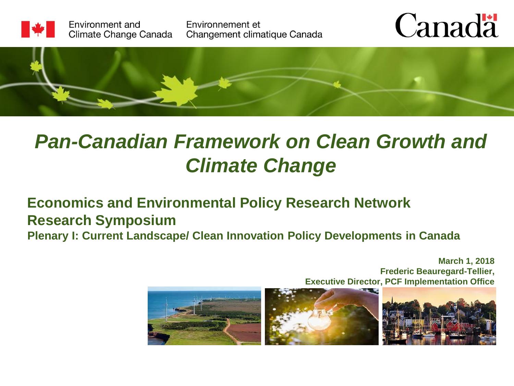

Environment and Climate Change Canada Environnement et Changement climatique Canada





## *Pan-Canadian Framework on Clean Growth and Climate Change*

### **Economics and Environmental Policy Research Network Research Symposium**

**Plenary I: Current Landscape/ Clean Innovation Policy Developments in Canada**

**March 1, 2018 Frederic Beauregard-Tellier, Executive Director, PCF Implementation Office**



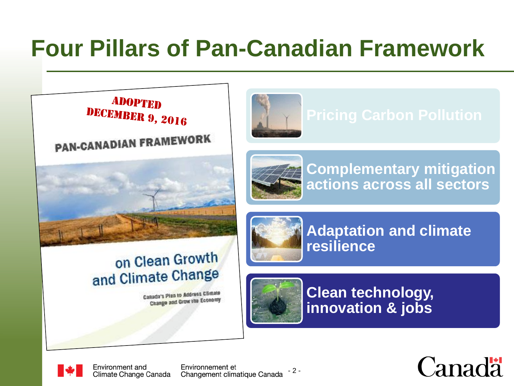## **Four Pillars of Pan-Canadian Framework**

**ADOPTED** DECEMBER 9, 2016

**PAN-CANADIAN FRAMEWORK** 





**Complementary mitigation actions across all sectors**



### on Clean Growth and Climate Change

Canada's Plan to Address Climate Change and Grow the Economy



**Adaptation and climate resilience**



**Clean technology, innovation & jobs** 



Environment and Climate Change Canada

Environnement et Changement climatique Canada

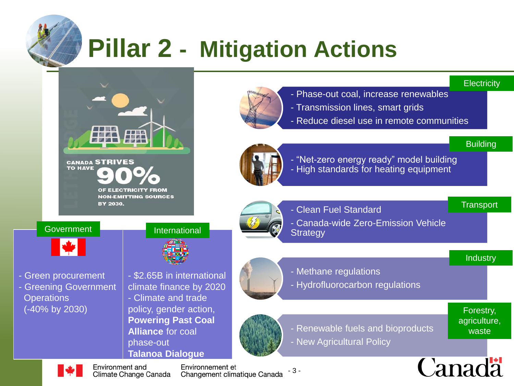

## **Pillar 2 - Mitigation Actions**

#### **Electricity**



- Phase-out coal, increase renewables
- Transmission lines, smart grids
- Reduce diesel use in remote communities



**Building** 

**Transport** 

- "Net-zero energy ready" model building - High standards for heating equipment
- 
- Clean Fuel Standard
- Canada-wide Zero-Emission Vehicle **Strategy**

#### **Industry**

Forestry, agriculture, waste

- Methane regulations
- Hydrofluorocarbon regulations



- Renewable fuels and bioproducts
- New Agricultural Policy



#### Government **International**

**CANADA STRIVES** 

BY 2030.

OF ELECTRICITY FROM **NON-EMITTING SOURCES** 

**TO HAVE** 



- Green procurement - Greening Government **Operations** (-40% by 2030)



- \$2.65B in international climate finance by 2020
- Climate and trade policy, gender action, **Powering Past Coal Alliance** for coal phase-out **Talanoa Dialogue**

Environment and Climate Change Canada

Environnement et Changement climatique Canada

- 3 -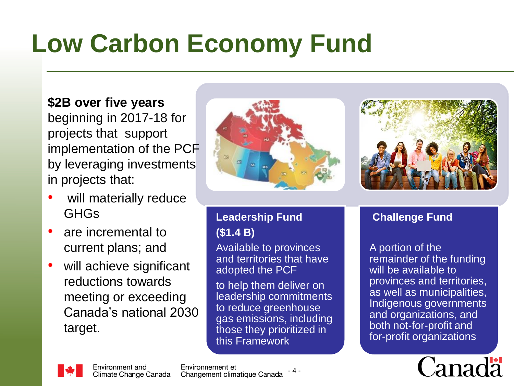# **Low Carbon Economy Fund**

#### **\$2B over five years**

beginning in 2017-18 for projects that support implementation of the PCF by leveraging investments in projects that:

- will materially reduce GHGs
- are incremental to current plans; and
- will achieve significant reductions towards meeting or exceeding Canada's national 2030 target.





#### **Leadership Fund (\$1.4 B)**

Available to provinces and territories that have adopted the PCF

to help them deliver on leadership commitments to reduce greenhouse gas emissions, including those they prioritized in this Framework

#### **Challenge Fund**

A portion of the remainder of the funding will be available to provinces and territories, as well as municipalities, Indigenous governments and organizations, and both not-for-profit and for-profit organizations





Environnement et Changement climatique Canada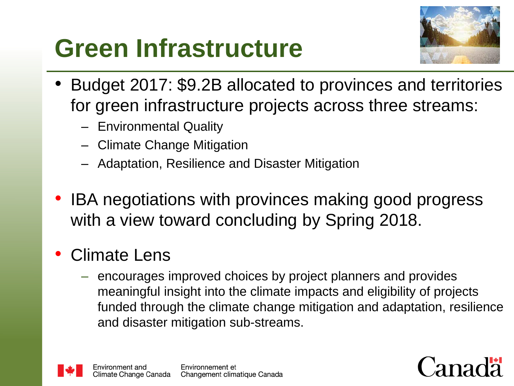## **Green Infrastructure**



- Budget 2017: \$9.2B allocated to provinces and territories for green infrastructure projects across three streams:
	- Environmental Quality
	- Climate Change Mitigation
	- Adaptation, Resilience and Disaster Mitigation
- IBA negotiations with provinces making good progress with a view toward concluding by Spring 2018.
- Climate Lens
	- encourages improved choices by project planners and provides meaningful insight into the climate impacts and eligibility of projects funded through the climate change mitigation and adaptation, resilience and disaster mitigation sub-streams.



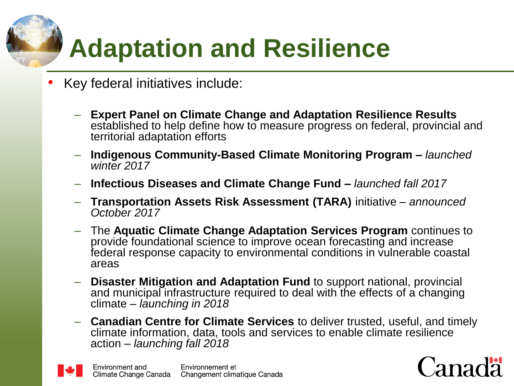# **Adaptation and Resilience**

- Key federal initiatives include:
	- **Expert Panel on Climate Change and Adaptation Resilience Results**  established to help define how to measure progress on federal, provincial and territorial adaptation efforts
	- **Indigenous Community-Based Climate Monitoring Program –** *launched winter 2017*
	- **Infectious Diseases and Climate Change Fund –** *launched fall 2017*
	- **Transportation Assets Risk Assessment (TARA)** initiative *announced October 2017*
	- The **Aquatic Climate Change Adaptation Services Program** continues to provide foundational science to improve ocean forecasting and increase federal response capacity to environmental conditions in vulnerable coastal areas
	- **Disaster Mitigation and Adaptation Fund** to support national, provincial and municipal infrastructure required to deal with the effects of a changing climate – *launching in 2018*
	- **Canadian Centre for Climate Services** to deliver trusted, useful, and timely climate information, data, tools and services to enable climate resilience action – *launching fall 2018*



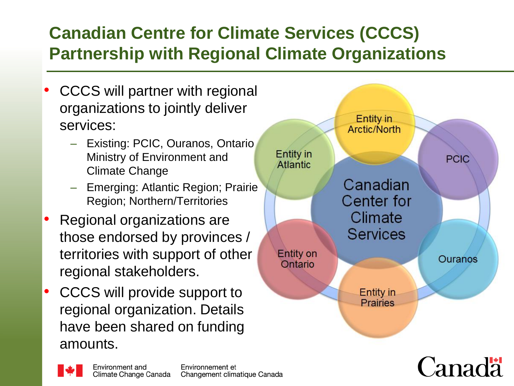## **Canadian Centre for Climate Services (CCCS) Partnership with Regional Climate Organizations**

- CCCS will partner with regional organizations to jointly deliver services:
	- Existing: PCIC, Ouranos, Ontario Ministry of Environment and Climate Change
	- Emerging: Atlantic Region; Prairie Region; Northern/Territories
- Regional organizations are those endorsed by provinces / territories with support of other regional stakeholders.
- CCCS will provide support to regional organization. Details have been shared on funding amounts.



 $\Gamma$ anada

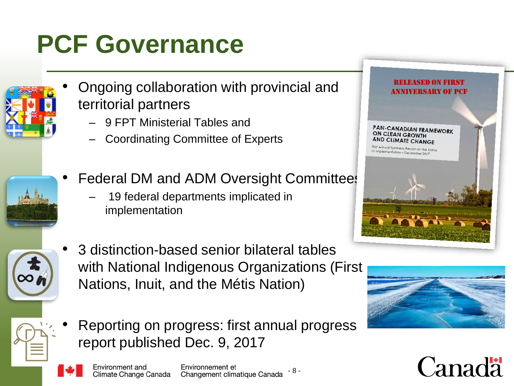# **PCF Governance**



- Ongoing collaboration with provincial and territorial partners
	- 9 FPT Ministerial Tables and
	- Coordinating Committee of Experts



- Federal DM and ADM Oversight Committees
	- 19 federal departments implicated in implementation



• 3 distinction-based senior bilateral tables with National Indigenous Organizations (First Nations, Inuit, and the Métis Nation)





• Reporting on progress: first annual progress report published Dec. 9, 2017

Environment and Climate Change Canada

Environnement et Changement climatique Canada

- 8 -